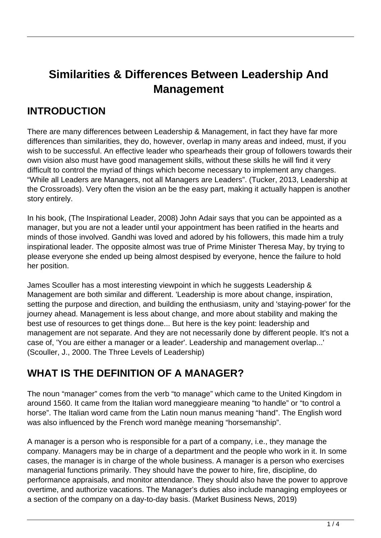# **Similarities & Differences Between Leadership And Management**

#### **INTRODUCTION**

There are many differences between Leadership & Management, in fact they have far more differences than similarities, they do, however, overlap in many areas and indeed, must, if you wish to be successful. An effective leader who spearheads their group of followers towards their own vision also must have good management skills, without these skills he will find it very difficult to control the myriad of things which become necessary to implement any changes. "While all Leaders are Managers, not all Managers are Leaders". (Tucker, 2013, Leadership at the Crossroads). Very often the vision an be the easy part, making it actually happen is another story entirely.

In his book, (The Inspirational Leader, 2008) John Adair says that you can be appointed as a manager, but you are not a leader until your appointment has been ratified in the hearts and minds of those involved. Gandhi was loved and adored by his followers, this made him a truly inspirational leader. The opposite almost was true of Prime Minister Theresa May, by trying to please everyone she ended up being almost despised by everyone, hence the failure to hold her position.

James Scouller has a most interesting viewpoint in which he suggests Leadership & Management are both similar and different. 'Leadership is more about change, inspiration, setting the purpose and direction, and building the enthusiasm, unity and 'staying-power' for the journey ahead. Management is less about change, and more about stability and making the best use of resources to get things done... But here is the key point: leadership and management are not separate. And they are not necessarily done by different people. It's not a case of, 'You are either a manager or a leader'. Leadership and management overlap...' (Scouller, J., 2000. The Three Levels of Leadership)

### **WHAT IS THE DEFINITION OF A MANAGER?**

The noun "manager" comes from the verb "to manage" which came to the United Kingdom in around 1560. It came from the Italian word maneggieare meaning "to handle" or "to control a horse". The Italian word came from the Latin noun manus meaning "hand". The English word was also influenced by the French word manège meaning "horsemanship".

A manager is a person who is responsible for a part of a company, i.e., they manage the company. Managers may be in charge of a department and the people who work in it. In some cases, the manager is in charge of the whole business. A manager is a person who exercises managerial functions primarily. They should have the power to hire, fire, discipline, do performance appraisals, and monitor attendance. They should also have the power to approve overtime, and authorize vacations. The Manager's duties also include managing employees or a section of the company on a day-to-day basis. (Market Business News, 2019)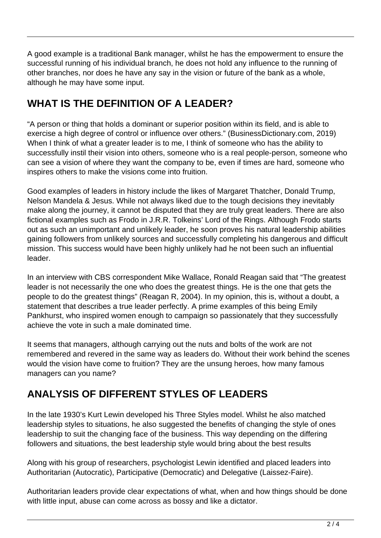A good example is a traditional Bank manager, whilst he has the empowerment to ensure the successful running of his individual branch, he does not hold any influence to the running of other branches, nor does he have any say in the vision or future of the bank as a whole, although he may have some input.

## **WHAT IS THE DEFINITION OF A LEADER?**

"A person or thing that holds a dominant or superior position within its field, and is able to exercise a high degree of control or influence over others." (BusinessDictionary.com, 2019) When I think of what a greater leader is to me, I think of someone who has the ability to successfully instil their vision into others, someone who is a real people-person, someone who can see a vision of where they want the company to be, even if times are hard, someone who inspires others to make the visions come into fruition.

Good examples of leaders in history include the likes of Margaret Thatcher, Donald Trump, Nelson Mandela & Jesus. While not always liked due to the tough decisions they inevitably make along the journey, it cannot be disputed that they are truly great leaders. There are also fictional examples such as Frodo in J.R.R. Tolkeins' Lord of the Rings. Although Frodo starts out as such an unimportant and unlikely leader, he soon proves his natural leadership abilities gaining followers from unlikely sources and successfully completing his dangerous and difficult mission. This success would have been highly unlikely had he not been such an influential leader.

In an interview with CBS correspondent Mike Wallace, Ronald Reagan said that "The greatest leader is not necessarily the one who does the greatest things. He is the one that gets the people to do the greatest things" (Reagan R, 2004). In my opinion, this is, without a doubt, a statement that describes a true leader perfectly. A prime examples of this being Emily Pankhurst, who inspired women enough to campaign so passionately that they successfully achieve the vote in such a male dominated time.

It seems that managers, although carrying out the nuts and bolts of the work are not remembered and revered in the same way as leaders do. Without their work behind the scenes would the vision have come to fruition? They are the unsung heroes, how many famous managers can you name?

## **ANALYSIS OF DIFFERENT STYLES OF LEADERS**

In the late 1930's Kurt Lewin developed his Three Styles model. Whilst he also matched leadership styles to situations, he also suggested the benefits of changing the style of ones leadership to suit the changing face of the business. This way depending on the differing followers and situations, the best leadership style would bring about the best results

Along with his group of researchers, psychologist Lewin identified and placed leaders into Authoritarian (Autocratic), Participative (Democratic) and Delegative (Laissez-Faire).

Authoritarian leaders provide clear expectations of what, when and how things should be done with little input, abuse can come across as bossy and like a dictator.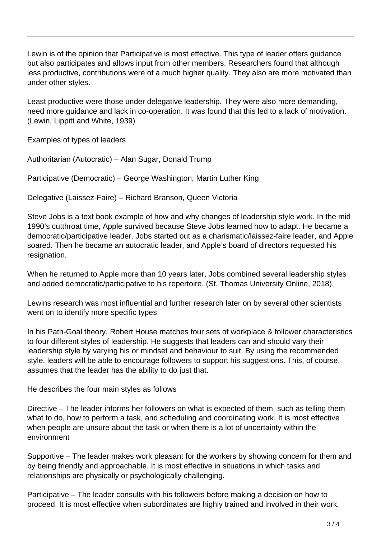Lewin is of the opinion that Participative is most effective. This type of leader offers guidance but also participates and allows input from other members. Researchers found that although less productive, contributions were of a much higher quality. They also are more motivated than under other styles.

Least productive were those under delegative leadership. They were also more demanding, need more guidance and lack in co-operation. It was found that this led to a lack of motivation. (Lewin, Lippitt and White, 1939)

Examples of types of leaders

Authoritarian (Autocratic) – Alan Sugar, Donald Trump

Participative (Democratic) – George Washington, Martin Luther King

Delegative (Laissez-Faire) – Richard Branson, Queen Victoria

Steve Jobs is a text book example of how and why changes of leadership style work. In the mid 1990's cutthroat time, Apple survived because Steve Jobs learned how to adapt. He became a democratic/participative leader. Jobs started out as a charismatic/laissez-faire leader, and Apple soared. Then he became an autocratic leader, and Apple's board of directors requested his resignation.

When he returned to Apple more than 10 years later, Jobs combined several leadership styles and added democratic/participative to his repertoire. (St. Thomas University Online, 2018).

Lewins research was most influential and further research later on by several other scientists went on to identify more specific types

In his Path-Goal theory, Robert House matches four sets of workplace & follower characteristics to four different styles of leadership. He suggests that leaders can and should vary their leadership style by varying his or mindset and behaviour to suit. By using the recommended style, leaders will be able to encourage followers to support his suggestions. This, of course, assumes that the leader has the ability to do just that.

He describes the four main styles as follows

Directive – The leader informs her followers on what is expected of them, such as telling them what to do, how to perform a task, and scheduling and coordinating work. It is most effective when people are unsure about the task or when there is a lot of uncertainty within the environment

Supportive – The leader makes work pleasant for the workers by showing concern for them and by being friendly and approachable. It is most effective in situations in which tasks and relationships are physically or psychologically challenging.

Participative – The leader consults with his followers before making a decision on how to proceed. It is most effective when subordinates are highly trained and involved in their work.